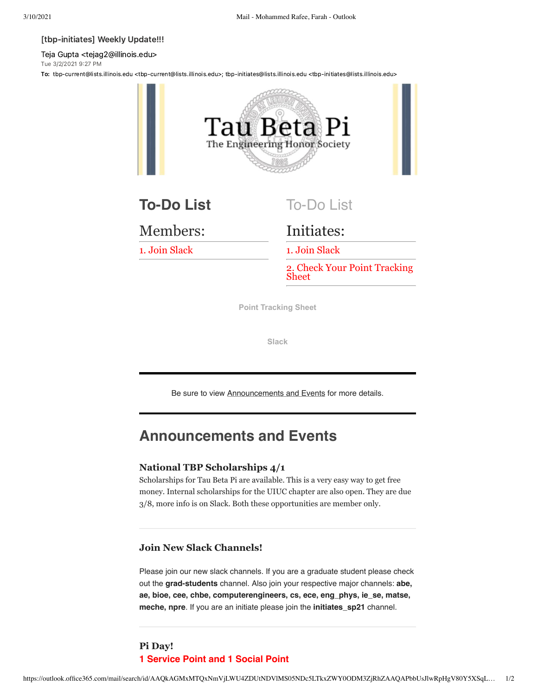#### [tbp-initiates] Weekly Update!!!

Teja Gupta <tejag2@illinois.edu> Tue 3/2/2021 9:27 PM

To: tbp-current@lists.illinois.edu <tbp-current@lists.illinois.edu>; tbp-initiates@lists.illinois.edu <tbp-initiates@lists.illinois.edu>



Members:

1. Join Slack

Initiates:

1. Join Slack

2. Check Your Point Tracking Sheet

**[Point Tracking Sheet](https://urldefense.com/v3/__https://docs.google.com/spreadsheets/d/13L6K_8IUNwuWqEg2YhNWw4IwAK3iltjb4CYafn72D0M/edit*gid=0__;Iw!!DZ3fjg!ovMq_TiqToPOiSp-pqTfXTeVNh6t5EaG47aDbSg1LkZB8T8mOR4Cvc4SW89EG-EF7YVPu2ibEIA$)**

**[Slack](https://urldefense.com/v3/__https://join.slack.com/t/tbpila/shared_invite/zt-dy1ppb1v-omVIXKDN8Qw6sH9rv8li5g__;!!DZ3fjg!ovMq_TiqToPOiSp-pqTfXTeVNh6t5EaG47aDbSg1LkZB8T8mOR4Cvc4SW89EG-EF7YVPtiZpPG8$)**

Be sure to view Announcements and Events for more details.

# **Announcements and Events**

#### **National TBP Scholarships 4/1**

Scholarships for Tau Beta Pi are available. This is a very easy way to get free money. Internal scholarships for the UIUC chapter are also open. They are due 3/8, more info is on Slack. Both these opportunities are member only.

### **Join New Slack Channels!**

Please join our new slack channels. If you are a graduate student please check out the **grad-students** channel. Also join your respective major channels: **abe, ae, bioe, cee, chbe, computerengineers, cs, ece, eng\_phys, ie\_se, matse, meche, npre**. If you are an initiate please join the **initiates\_sp21** channel.

# **Pi Day! 1 Service Point and 1 Social Point**